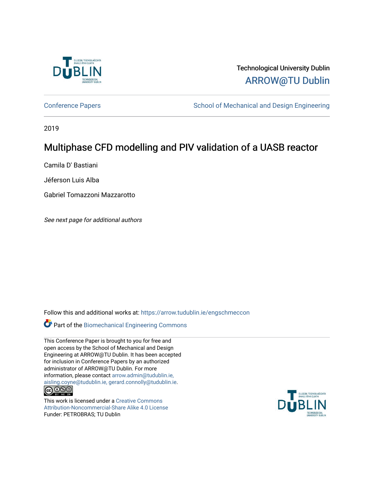

Technological University Dublin [ARROW@TU Dublin](https://arrow.tudublin.ie/) 

[Conference Papers](https://arrow.tudublin.ie/engschmeccon) **School of Mechanical and Design Engineering** School of Mechanical and Design Engineering

2019

## Multiphase CFD modelling and PIV validation of a UASB reactor

Camila D' Bastiani

Jéferson Luis Alba

Gabriel Tomazzoni Mazzarotto

See next page for additional authors

Follow this and additional works at: [https://arrow.tudublin.ie/engschmeccon](https://arrow.tudublin.ie/engschmeccon?utm_source=arrow.tudublin.ie%2Fengschmeccon%2F78&utm_medium=PDF&utm_campaign=PDFCoverPages) 

Part of the [Biomechanical Engineering Commons](http://network.bepress.com/hgg/discipline/296?utm_source=arrow.tudublin.ie%2Fengschmeccon%2F78&utm_medium=PDF&utm_campaign=PDFCoverPages)

This Conference Paper is brought to you for free and open access by the School of Mechanical and Design Engineering at ARROW@TU Dublin. It has been accepted for inclusion in Conference Papers by an authorized administrator of ARROW@TU Dublin. For more information, please contact [arrow.admin@tudublin.ie,](mailto:arrow.admin@tudublin.ie,%20aisling.coyne@tudublin.ie,%20gerard.connolly@tudublin.ie)  [aisling.coyne@tudublin.ie, gerard.connolly@tudublin.ie](mailto:arrow.admin@tudublin.ie,%20aisling.coyne@tudublin.ie,%20gerard.connolly@tudublin.ie).

This work is licensed under a [Creative Commons](http://creativecommons.org/licenses/by-nc-sa/4.0/) [Attribution-Noncommercial-Share Alike 4.0 License](http://creativecommons.org/licenses/by-nc-sa/4.0/) Funder: PETROBRAS; TU Dublin

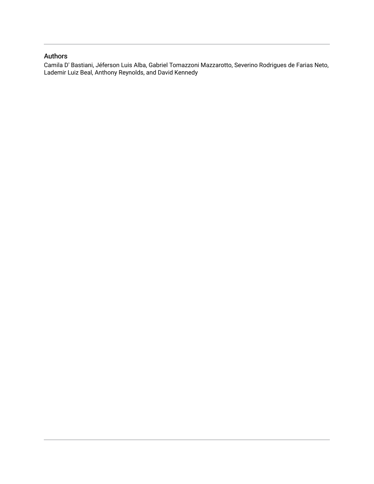### Authors

Camila D' Bastiani, Jéferson Luis Alba, Gabriel Tomazzoni Mazzarotto, Severino Rodrigues de Farias Neto, Lademir Luiz Beal, Anthony Reynolds, and David Kennedy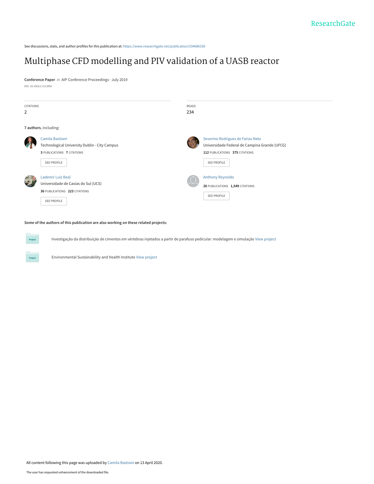See discussions, stats, and author profiles for this publication at: [https://www.researchgate.net/publication/334686330](https://www.researchgate.net/publication/334686330_Multiphase_CFD_modelling_and_PIV_validation_of_a_UASB_reactor?enrichId=rgreq-5c56df8a7c411d33433d0ce2b9ebdd6e-XXX&enrichSource=Y292ZXJQYWdlOzMzNDY4NjMzMDtBUzo4Nzk4NTQxMTUzNjQ4NjZAMTU4Njc4NDk3NjYzOA%3D%3D&el=1_x_2&_esc=publicationCoverPdf)

## [Multiphase CFD modelling and PIV validation of a UASB reactor](https://www.researchgate.net/publication/334686330_Multiphase_CFD_modelling_and_PIV_validation_of_a_UASB_reactor?enrichId=rgreq-5c56df8a7c411d33433d0ce2b9ebdd6e-XXX&enrichSource=Y292ZXJQYWdlOzMzNDY4NjMzMDtBUzo4Nzk4NTQxMTUzNjQ4NjZAMTU4Njc4NDk3NjYzOA%3D%3D&el=1_x_3&_esc=publicationCoverPdf)

**Conference Paper** in AIP Conference Proceedings · July 2019 DOI: 10.1063/1.5113991



#### **Some of the authors of this publication are also working on these related projects:**

Investigação da distribuição de cimentos em vértebras injetados a partir de parafuso pedicular: modelagem e simulação [View project](https://www.researchgate.net/project/Investigacao-da-distribuicao-de-cimentos-em-vertebras-injetados-a-partir-de-parafuso-pedicular-modelagem-e-simulacao?enrichId=rgreq-5c56df8a7c411d33433d0ce2b9ebdd6e-XXX&enrichSource=Y292ZXJQYWdlOzMzNDY4NjMzMDtBUzo4Nzk4NTQxMTUzNjQ4NjZAMTU4Njc4NDk3NjYzOA%3D%3D&el=1_x_9&_esc=publicationCoverPdf)

Project

Environmental Sustainability and Health Institute [View project](https://www.researchgate.net/project/Environmental-Sustainability-and-Health-Institute?enrichId=rgreq-5c56df8a7c411d33433d0ce2b9ebdd6e-XXX&enrichSource=Y292ZXJQYWdlOzMzNDY4NjMzMDtBUzo4Nzk4NTQxMTUzNjQ4NjZAMTU4Njc4NDk3NjYzOA%3D%3D&el=1_x_9&_esc=publicationCoverPdf)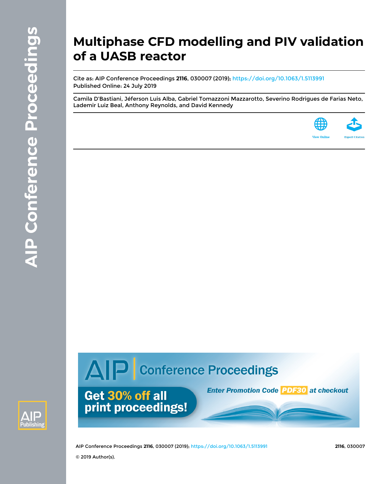# **Multiphase CFD modelling and PIV validation of a UASB reactor**

Cite as: AIP Conference Proceedings **2116**, 030007 (2019); <https://doi.org/10.1063/1.5113991> Published Online: 24 July 2019

[Camila D'Bastiani,](https://aip.scitation.org/author/D%27Bastiani%2C+Camila) [Jéferson Luis Alba](https://aip.scitation.org/author/Alba%2C+J%C3%A9ferson+Luis), [Gabriel Tomazzoni Mazzarotto](https://aip.scitation.org/author/Mazzarotto%2C+Gabriel+Tomazzoni), [Severino Rodrigues de Farias Neto,](https://aip.scitation.org/author/Neto%2C+Severino+Rodrigues+de+Farias) [Lademir Luiz Beal,](https://aip.scitation.org/author/Beal%2C+Lademir+Luiz) [Anthony Reynolds](https://aip.scitation.org/author/Reynolds%2C+Anthony), and [David Kennedy](https://aip.scitation.org/author/Kennedy%2C+David)





AIP Conference Proceedings **2116**, 030007 (2019); <https://doi.org/10.1063/1.5113991> **2116**, 030007

AIP Conference Proceedings

Get 30% off all

print proceedings!

**Enter Promotion Code 20530 at checkout**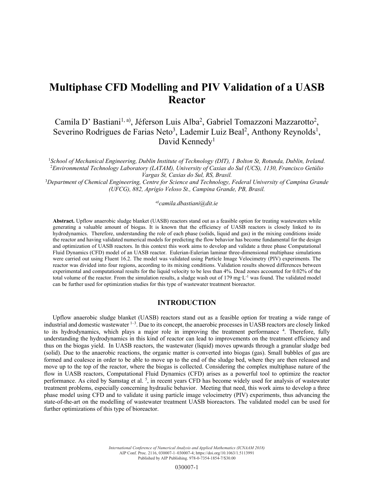## **Multiphase CFD Modelling and PIV Validation of a UASB Reactor**

Camila D' Bastiani<sup>1, a)</sup>, Jéferson Luis Alba<sup>2</sup>, Gabriel Tomazzoni Mazzarotto<sup>2</sup>, Severino Rodrigues de Farias Neto<sup>3</sup>, Lademir Luiz Beal<sup>2</sup>, Anthony Reynolds<sup>1</sup>, David Kennedy<sup>1</sup>

<sup>1</sup>School of Mechanical Engineering, Dublin Institute of Technology (DIT), 1 Bolton St, Rotunda, Dublin, Ireland. 2 *Environmental Technology Laboratory (LATAM), University of Caxias do Sul (UCS), 1130, Francisco Getúlio Vargas St, Caxias do Sul, RS, Brasil.* 

3 *Department of Chemical Engineering, Centre for Science and Technology, Federal University of Campina Grande (UFCG), 882, Aprígio Veloso St., Campina Grande, PB, Brasil.* 

#### *a)camila.dbastiani@dit.ie*

**Abstract.** Upflow anaerobic sludge blanket (UASB) reactors stand out as a feasible option for treating wastewaters while generating a valuable amount of biogas. It is known that the efficiency of UASB reactors is closely linked to its hydrodynamics. Therefore, understanding the role of each phase (solids, liquid and gas) in the mixing conditions inside the reactor and having validated numerical models for predicting the flow behavior has become fundamental for the design and optimization of UASB reactors. In this context this work aims to develop and validate a three phase Computational Fluid Dynamics (CFD) model of an UASB reactor. Eulerian-Eulerian laminar three-dimensional multiphase simulations were carried out using Fluent 16.2. The model was validated using Particle Image Velocimetry (PIV) experiments. The reactor was divided into four regions, according to its mixing conditions. Validation results showed differences between experimental and computational results for the liquid velocity to be less than 4%. Dead zones accounted for 0.02% of the total volume of the reactor. From the simulation results, a sludge wash out of  $179 \text{ mg} \cdot L^{-1}$  was found. The validated model can be further used for optimization studies for this type of wastewater treatment bioreactor.

#### **INTRODUCTION**

Upflow anaerobic sludge blanket (UASB) reactors stand out as a feasible option for treating a wide range of industrial and domestic wastewater 1–3. Due to its concept, the anaerobic processes in UASB reactors are closely linked to its hydrodynamics, which plays a major role in improving the treatment performance<sup>4</sup>. Therefore, fully understanding the hydrodynamics in this kind of reactor can lead to improvements on the treatment efficiency and thus on the biogas yield. In UASB reactors, the wastewater (liquid) moves upwards through a granular sludge bed (solid). Due to the anaerobic reactions, the organic matter is converted into biogas (gas). Small bubbles of gas are formed and coalesce in order to be able to move up to the end of the sludge bed, where they are then released and move up to the top of the reactor, where the biogas is collected. Considering the complex multiphase nature of the flow in UASB reactors, Computational Fluid Dynamics (CFD) arises as a powerful tool to optimize the reactor performance. As cited by Samstag et al.  $\frac{5}{2}$ , in recent years CFD has become widely used for analysis of wastewater treatment problems, especially concerning hydraulic behavior. Meeting that need, this work aims to develop a three phase model using CFD and to validate it using particle image velocimetry (PIV) experiments, thus advancing the state-of-the-art on the modelling of wastewater treatment UASB bioreactors. The validated model can be used for further optimizations of this type of bioreactor.

> *International Conference of Numerical Analysis and Applied Mathematics (ICNAAM 2018)* AIP Conf. Proc. 2116, 030007-1–030007-4; https://doi.org/10.1063/1.5113991 Published by AIP Publishing. 978-0-7354-1854-7/\$30.00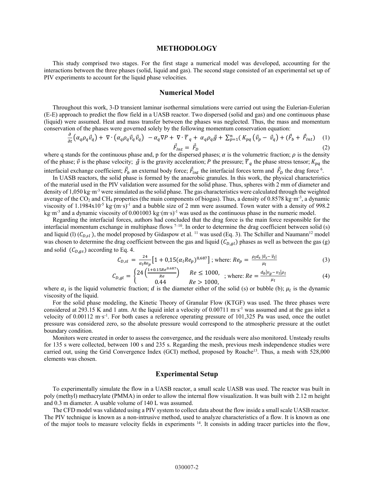#### **METHODOLOGY**

This study comprised two stages. For the first stage a numerical model was developed, accounting for the interactions between the three phases (solid, liquid and gas). The second stage consisted of an experimental set up of PIV experiments to account for the liquid phase velocities.

#### **Numerical Model**

Throughout this work, 3-D transient laminar isothermal simulations were carried out using the Eulerian-Eulerian (E-E) approach to predict the flow field in a UASB reactor. Two dispersed (solid and gas) and one continuous phase (liquid) were assumed. Heat and mass transfer between the phases was neglected. Thus, the mass and momentum conservation of the phases were governed solely by the following momentum conservation equation:

$$
\frac{\partial}{\partial t} \left( \alpha_q \rho_q \vec{v}_q \right) + \nabla \cdot \left( \alpha_q \rho_q \vec{v}_q \vec{v}_q \right) \n- \alpha_q \nabla P + \nabla \cdot \overline{\overline{\tau}}_q + \alpha_q \rho_q \vec{g} + \sum_{p=1}^n \left( K_{pq} \left( \vec{v}_p - \vec{v}_q \right) + \left( \vec{F}_b + \vec{F}_{int} \right) \right) \tag{1}
$$
\n
$$
\vec{F}_{int} = \vec{F}_D \tag{2}
$$

where q stands for the continuous phase and, p for the dispersed phases;  $\alpha$  is the volumetric fraction;  $\rho$  is the density of the phase;  $\vec{v}$  is the phase velocity;  $\vec{g}$  is the gravity acceleration; P the pressure;  $\vec{\tau}_q$  the phase stress tensor;  $K_{pq}$  the interfacial exchange coefficient;  $\vec{F}_b$  an external body force;  $\vec{F}_{int}$  the interfacial forces term and  $\vec{F}_D$  the drag force <sup>6</sup>.

In UASB reactors, the solid phase is formed by the anaerobic granules. In this work, the physical characteristics of the material used in the PIV validation were assumed for the solid phase. Thus, spheres with 2 mm of diameter and density of 1,050 kg·m<sup>-3</sup> were simulated as the solid phase. The gas characteristics were calculated through the weighted average of the  $CO_2$  and CH<sub>4</sub> properties (the main components of biogas). Thus, a density of 0.8578 kg·m<sup>-3</sup>, a dynamic viscosity of 1.1984x10<sup>-5</sup> kg·(m·s)<sup>-1</sup> and a bubble size of 2 mm were assumed. Town water with a density of 998.2 kg·m<sup>-3</sup> and a dynamic viscosity of 0.001003 kg·(m·s)<sup>-1</sup> was used as the continuous phase in the numeric model.

Regarding the interfacial forces, authors had concluded that the drag force is the main force responsible for the interfacial momentum exchange in multiphase flows  $7-10$ . In order to determine the drag coefficient between solid (s) and liquid (l)  $(C_{D,sl}$ ), the model proposed by Gidaspow et al. <sup>11</sup> was used (Eq. 3). The Schiller and Naumann<sup>12</sup> model was chosen to determine the drag coefficient between the gas and liquid  $(C_{D,ql})$  phases as well as between the gas (g) and solid  $(C_{D,qs})$  according to Eq. 4.

$$
C_{D,sl} = \frac{24}{\alpha_l Re_p} \left[ 1 + 0.15 (\alpha_l Re_p)^{0.687} \right]; \text{ where: } Re_p = \frac{\rho_l d_s |\vec{v}_s - \vec{v}_l|}{\mu_l} \tag{3}
$$

$$
C_{D,gl} = \begin{cases} 24 \left( \frac{1+0.15Re^{0.687}}{Re} \right) & Re \le 1000, \\ 0.44 & Re > 1000, \end{cases}
$$
; where:  $Re = \frac{a_b|v_g - v_l|\rho_l}{\mu_l}$  (4)

where  $\alpha_l$  is the liquid volumetric fraction; d is the diameter either of the solid (s) or bubble (b);  $\mu_l$  is the dynamic viscosity of the liquid.

For the solid phase modeling, the Kinetic Theory of Granular Flow (KTGF) was used. The three phases were considered at 293.15 K and 1 atm. At the liquid inlet a velocity of  $0.00711 \text{ m} \cdot \text{s}^{-1}$  was assumed and at the gas inlet a velocity of 0.00112 m·s<sup>-1</sup>. For both cases a reference operating pressure of 101,325 Pa was used, once the outlet pressure was considered zero, so the absolute pressure would correspond to the atmospheric pressure at the outlet boundary condition.

Monitors were created in order to assess the convergence, and the residuals were also monitored. Unsteady results for 135 s were collected, between 100 s and 235 s. Regarding the mesh, previous mesh independence studies were carried out, using the Grid Convergence Index (GCI) method, proposed by Roache<sup>13</sup>. Thus, a mesh with 528,000 elements was chosen.

#### **Experimental Setup**

To experimentally simulate the flow in a UASB reactor, a small scale UASB was used. The reactor was built in poly (methyl) methacrylate (PMMA) in order to allow the internal flow visualization. It was built with 2.12 m height and 0.3 m diameter. A usable volume of 140 L was assumed.

The CFD model was validated using a PIV system to collect data about the flow inside a small scale UASB reactor. The PIV technique is known as a non-intrusive method, used to analyze characteristics of a flow. It is known as one of the major tools to measure velocity fields in experiments  $14$ . It consists in adding tracer particles into the flow,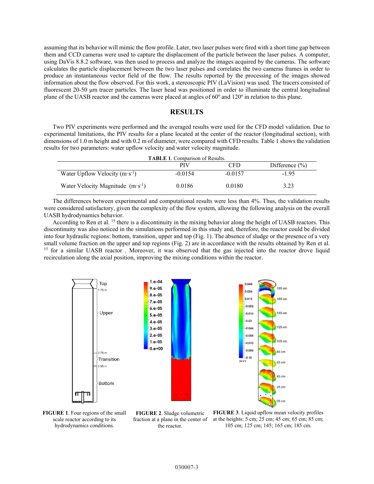assuming that its behavior will mimic the flow profile. Later, two laser pulses were fired with a short time gap between them and CCD cameras were used to capture the displacement of the particle between the laser pulses. A computer, using DaVis 8.8.2 software, was then used to process and analyze the images acquired by the cameras. The software calculates the particle displacement between the two laser pulses and correlates the two cameras frames in order to produce an instantaneous vector field of the flow. The results reported by the processing of the images showed information about the flow observed. For this work, a stereoscopic PIV (LaVision) was used. The tracers consisted of fluorescent 20-50 μm tracer particles. The laser head was positioned in order to illuminate the central longitudinal plane of the UASB reactor and the cameras were placed at angles of 60º and 120º in relation to this plane.

#### **RESULTS**

Two PIV experiments were performed and the averaged results were used for the CFD model validation. Due to experimental limitations, the PIV results for a plane located at the center of the reactor (longitudinal section), with dimensions of 1.0 m height and with 0.2 m of diameter, were compared with CFD results. Table 1 shows the validation results for two parameters: water upflow velocity and water velocity magnitude.

| <b>TABLE 1.</b> Comparison of Results.      |            |           |                    |
|---------------------------------------------|------------|-----------|--------------------|
|                                             | <b>PIV</b> | CFD       | Difference $(\% )$ |
| Water Upflow Velocity $(m \cdot s^{-1})$    | $-0.0154$  | $-0.0157$ | $-1.95$            |
| Water Velocity Magnitude $(m \cdot s^{-1})$ | 0.0186     | 0.0180    | 3.23               |

The differences between experimental and computational results were less than 4%. Thus, the validation results were considered satisfactory, given the complexity of the flow system, allowing the following analysis on the overall UASB hydrodynamics behavior.

According to Ren et al. 15 there is a discontinuity in the mixing behavior along the height of UASB reactors. This discontinuity was also noticed in the simulations performed in this study and, therefore, the reactor could be divided into four hydraulic regions: bottom, transition, upper and top (Fig. 1). The absence of sludge or the presence of a very small volume fraction on the upper and top regions (Fig. 2) are in accordance with the results obtained by Ren et al. <sup>15</sup> for a similar UASB reactor. Moreover, it was observed that the gas injected into the reactor drove liquid recirculation along the axial position, improving the mixing conditions within the reactor.



**FIGURE 1**. Four regions of the small scale reactor according to its hydrodynamics conditions.

**FIGURE 2**. Sludge volumetric fraction at a plane in the center of the reactor.

**FIGURE 3**. Liquid upflow mean velocity profiles at the heights: 5 cm; 25 cm; 45 cm; 65 cm; 85 cm; 105 cm; 125 cm; 145; 165 cm; 185 cm.